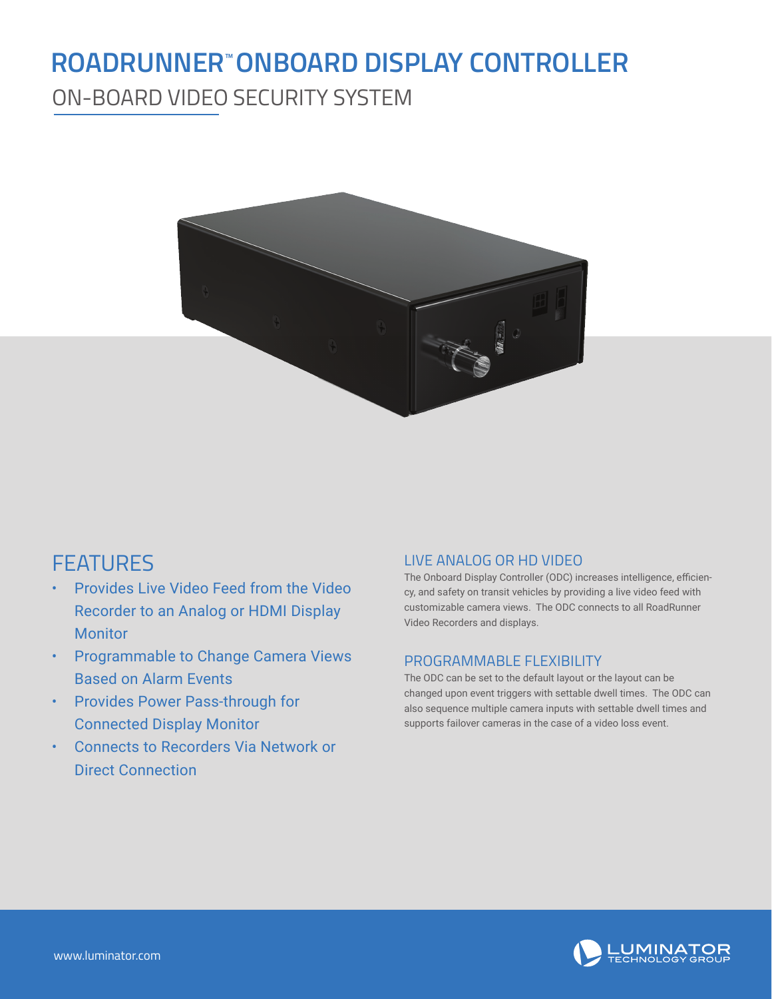## **ROADRUNNER™ONBOARD DISPLAY CONTROLLER**

ON-BOARD VIDEO SECURITY SYSTEM



## FEATURES

- Provides Live Video Feed from the Video Recorder to an Analog or HDMI Display Monitor
- Programmable to Change Camera Views Based on Alarm Events
- Provides Power Pass-through for Connected Display Monitor
- Connects to Recorders Via Network or Direct Connection

#### LIVE ANALOG OR HD VIDEO

The Onboard Display Controller (ODC) increases intelligence, efficiency, and safety on transit vehicles by providing a live video feed with customizable camera views. The ODC connects to all RoadRunner Video Recorders and displays.

#### PROGRAMMABLE FLEXIBILITY

The ODC can be set to the default layout or the layout can be changed upon event triggers with settable dwell times. The ODC can also sequence multiple camera inputs with settable dwell times and supports failover cameras in the case of a video loss event.